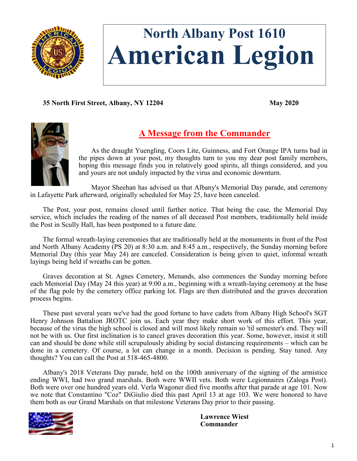

# **North Albany Post 1610 American Legion**

**35 North First Street, Albany, NY 12204 May 2020**



# **A Message from the Commander**

As the draught Yuengling, Coors Lite, Guinness, and Fort Orange IPA turns bad in the pipes down at your post, my thoughts turn to you my dear post family members, hoping this message finds you in relatively good spirits, all things considered, and you and yours are not unduly impacted by the virus and economic downturn.

Mayor Sheehan has advised us that Albany's Memorial Day parade, and ceremony in Lafayette Park afterward, originally scheduled for May 25, have been canceled.

The Post, your post, remains closed until further notice. That being the case, the Memorial Day service, which includes the reading of the names of all deceased Post members, traditionally held inside the Post in Scully Hall, has been postponed to a future date.

The formal wreath-laying ceremonies that are traditionally held at the monuments in front of the Post and North Albany Academy (PS 20) at 8:30 a.m. and 8:45 a.m., respectively, the Sunday morning before Memorial Day (this year May 24) are canceled. Consideration is being given to quiet, informal wreath layings being held if wreaths can be gotten.

Graves decoration at St. Agnes Cemetery, Menands, also commences the Sunday morning before each Memorial Day (May 24 this year) at 9:00 a.m., beginning with a wreath-laying ceremony at the base of the flag pole by the cemetery office parking lot. Flags are then distributed and the graves decoration process begins.

These past several years we've had the good fortune to have cadets from Albany High School's SGT Henry Johnson Battalion JROTC join us. Each year they make short work of this effort. This year, because of the virus the high school is closed and will most likely remain so 'til semester's end. They will not be with us. Our first inclination is to cancel graves decoration this year. Some, however, insist it still can and should be done while still scrupulously abiding by social distancing requirements – which can be done in a cemetery. Of course, a lot can change in a month. Decision is pending. Stay tuned. Any thoughts? You can call the Post at 518-465-4800.

Albany's 2018 Veterans Day parade, held on the 100th anniversary of the signing of the armistice ending WWI, had two grand marshals. Both were WWII vets. Both were Legionnaires (Zaloga Post). Both were over one hundred years old. Verla Wagoner died five months after that parade at age 101. Now we note that Constantino "Coz" DiGiulio died this past April 13 at age 103. We were honored to have them both as our Grand Marshals on that milestone Veterans Day prior to their passing.



**Lawrence Wiest Commander**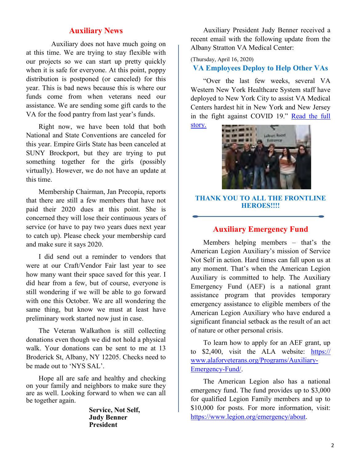### **Auxiliary News**

Auxiliary does not have much going on at this time. We are trying to stay flexible with our projects so we can start up pretty quickly when it is safe for everyone. At this point, poppy distribution is postponed (or canceled) for this year. This is bad news because this is where our funds come from when veterans need our assistance. We are sending some gift cards to the VA for the food pantry from last year's funds.

Right now, we have been told that both National and State Conventions are canceled for this year. Empire Girls State has been canceled at SUNY Brockport, but they are trying to put something together for the girls (possibly virtually). However, we do not have an update at this time.

Membership Chairman, Jan Precopia, reports that there are still a few members that have not paid their 2020 dues at this point. She is concerned they will lose their continuous years of service (or have to pay two years dues next year to catch up). Please check your membership card and make sure it says 2020.

I did send out a reminder to vendors that were at our Craft/Vendor Fair last year to see how many want their space saved for this year. I did hear from a few, but of course, everyone is still wondering if we will be able to go forward with one this October. We are all wondering the same thing, but know we must at least have preliminary work started now just in case.

The Veteran Walkathon is still collecting donations even though we did not hold a physical walk. Your donations can be sent to me at 13 Broderick St, Albany, NY 12205. Checks need to be made out to 'NYS SAL'.

Hope all are safe and healthy and checking on your family and neighbors to make sure they are as well. Looking forward to when we can all be together again.

> **Service, Not Self, Judy Benner President**

Auxiliary President Judy Benner received a recent email with the following update from the Albany Stratton VA Medical Center:

(Thursday, April 16, 2020)

#### **VA Employees Deploy to Help Other VAs**

"Over the last few weeks, several VA Western New York Healthcare System staff have deployed to New York City to assist VA Medical Centers hardest hit in New York and New Jersey in the fight against COVID 19." [Read the full](https://www.albany.va.gov/ALBANY/features/VA_Employees_Deploy_to_Help_Sister_VAs.asp) 

[story.](https://www.albany.va.gov/ALBANY/features/VA_Employees_Deploy_to_Help_Sister_VAs.asp)



#### **THANK YOU TO ALL THE FRONTLINE HEROES!!!!**

#### **Auxiliary Emergency Fund**

Members helping members – that's the American Legion Auxiliary's mission of Service Not Self in action. Hard times can fall upon us at any moment. That's when the American Legion Auxiliary is committed to help. The Auxiliary Emergency Fund (AEF) is a national grant assistance program that provides temporary emergency assistance to eligible members of the American Legion Auxiliary who have endured a significant financial setback as the result of an act of nature or other personal crisis.

To learn how to apply for an AEF grant, up to \$2,400, visit the ALA website: [https://](https://www.alaforveterans.org/Programs/Auxiliary-Emergency-Fund/) [www.alaforveterans.org/Programs/Auxiliary](https://www.alaforveterans.org/Programs/Auxiliary-Emergency-Fund/)-[Emergency](https://www.alaforveterans.org/Programs/Auxiliary-Emergency-Fund/)-Fund/.

The American Legion also has a national emergency fund. The fund provides up to \$3,000 for qualified Legion Family members and up to \$10,000 for posts. For more information, visit: [https://www.legion.org/emergency/about.](https://www.legion.org/emergency/about)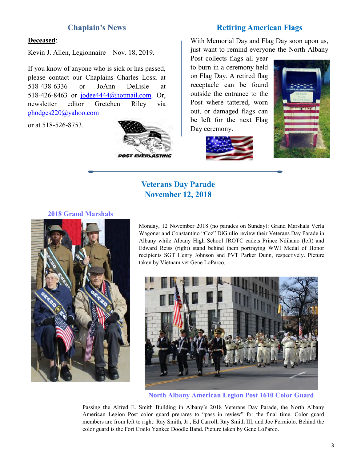#### **Chaplain's News**

#### **Retiring American Flags**

#### **Deceased**:

Kevin J. Allen, Legionnaire – Nov. 18, 2019.

If you know of anyone who is sick or has passed, please contact our Chaplains Charles Lossi at 518-438-6336 or JoAnn DeLisle at 518-426-8463 or [jodee4444@hotmail.com.](mailto:jodee4444@hotmail.com) Or, newsletter editor Gretchen Riley via [ghodges220@yahoo.com](mailto:ghodges220@yahoo.com)

or at 518-526-8753.



With Memorial Day and Flag Day soon upon us, just want to remind everyone the North Albany

Post collects flags all year to burn in a ceremony held on Flag Day. A retired flag receptacle can be found outside the entrance to the Post where tattered, worn out, or damaged flags can be left for the next Flag Day ceremony.





# **Veterans Day Parade November 12, 2018**

#### **2018 Grand Marshals**



Monday, 12 November 2018 (no parades on Sunday): Grand Marshals Verla Wagoner and Constantino "Coz" DiGiulio review their Veterans Day Parade in Albany while Albany High School JROTC cadets Prince Ndihano (left) and Edward Reiss (right) stand behind them portraying WWI Medal of Honor recipients SGT Henry Johnson and PVT Parker Dunn, respectively. Picture taken by Vietnam vet Gene LoParco.



**North Albany American Legion Post 1610 Color Guard**

Passing the Alfred E. Smith Building in Albany's 2018 Veterans Day Parade, the North Albany American Legion Post color guard prepares to "pass in review" for the final time. Color guard members are from left to right: Ray Smith, Jr., Ed Carroll, Ray Smith III, and Joe Ferraiolo. Behind the color guard is the Fort Crailo Yankee Doodle Band. Picture taken by Gene LoParco.

3